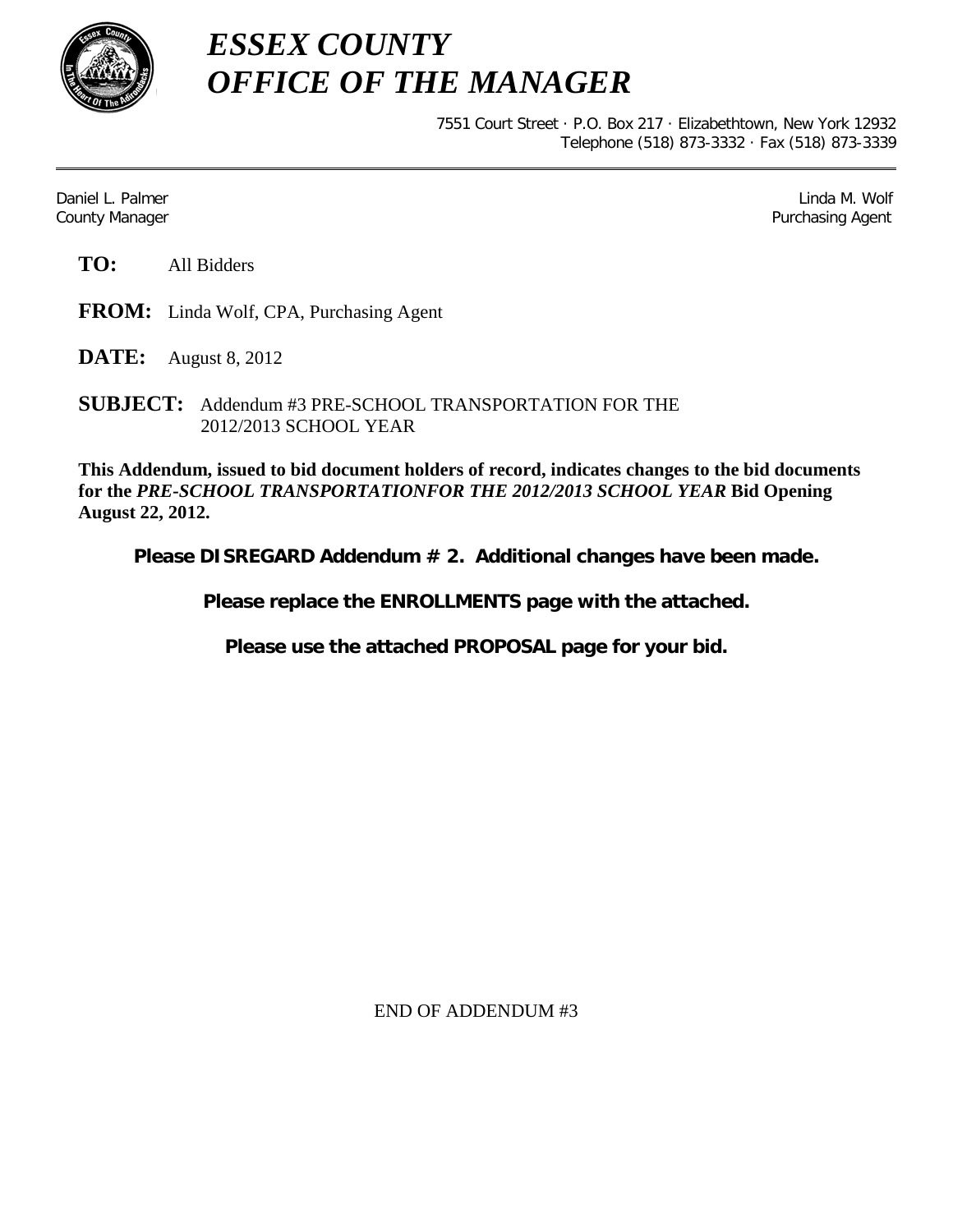

*ESSEX COUNTY OFFICE OF THE MANAGER*

> 7551 Court Street · P.O. Box 217 · Elizabethtown, New York 12932 Telephone (518) 873-3332 · Fax (518) 873-3339

Daniel L. Palmer Later and the control of the control of the control of the control of the control of the control of the control of the control of the control of the control of the control of the control of the control of County Manager Purchasing Agent

**TO:** All Bidders

**FROM:** Linda Wolf, CPA, Purchasing Agent

**DATE:** August 8, 2012

**SUBJECT:** Addendum #3 PRE-SCHOOL TRANSPORTATION FOR THE 2012/2013 SCHOOL YEAR

**This Addendum, issued to bid document holders of record, indicates changes to the bid documents for the** *PRE-SCHOOL TRANSPORTATIONFOR THE 2012/2013 SCHOOL YEAR* **Bid Opening August 22, 2012.**

**Please DISREGARD Addendum # 2. Additional changes have been made.** 

**Please replace the ENROLLMENTS page with the attached.**

**Please use the attached PROPOSAL page for your bid.**

END OF ADDENDUM #3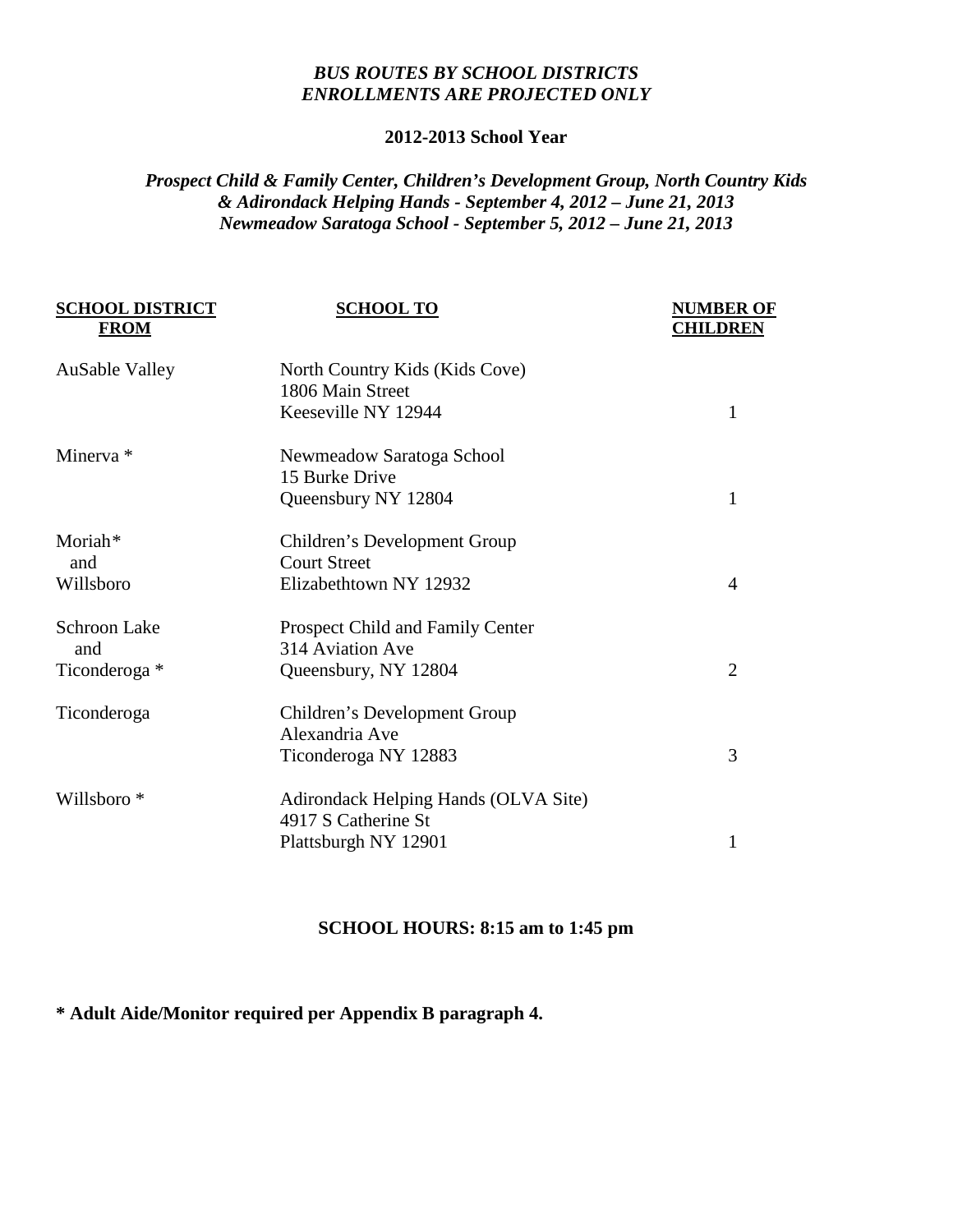## *BUS ROUTES BY SCHOOL DISTRICTS ENROLLMENTS ARE PROJECTED ONLY*

#### **2012-2013 School Year**

# *Prospect Child & Family Center, Children's Development Group, North Country Kids & Adirondack Helping Hands - September 4, 2012 – June 21, 2013 Newmeadow Saratoga School - September 5, 2012 – June 21, 2013*

| <b>SCHOOL TO</b>                                   | <b>NUMBER OF</b><br><b>CHILDREN</b> |
|----------------------------------------------------|-------------------------------------|
| North Country Kids (Kids Cove)<br>1806 Main Street |                                     |
| Keeseville NY 12944                                | 1                                   |
| Newmeadow Saratoga School                          |                                     |
| 15 Burke Drive                                     |                                     |
| Queensbury NY 12804                                | 1                                   |
| Children's Development Group                       |                                     |
| <b>Court Street</b>                                |                                     |
| Elizabethtown NY 12932                             | 4                                   |
| <b>Prospect Child and Family Center</b>            |                                     |
| 314 Aviation Ave                                   |                                     |
| Queensbury, NY 12804                               | $\overline{2}$                      |
| Children's Development Group                       |                                     |
| Alexandria Ave                                     |                                     |
| Ticonderoga NY 12883                               | 3                                   |
| Adirondack Helping Hands (OLVA Site)               |                                     |
| 4917 S Catherine St                                |                                     |
| Plattsburgh NY 12901                               | 1                                   |
|                                                    |                                     |

## **SCHOOL HOURS: 8:15 am to 1:45 pm**

# **\* Adult Aide/Monitor required per Appendix B paragraph 4.**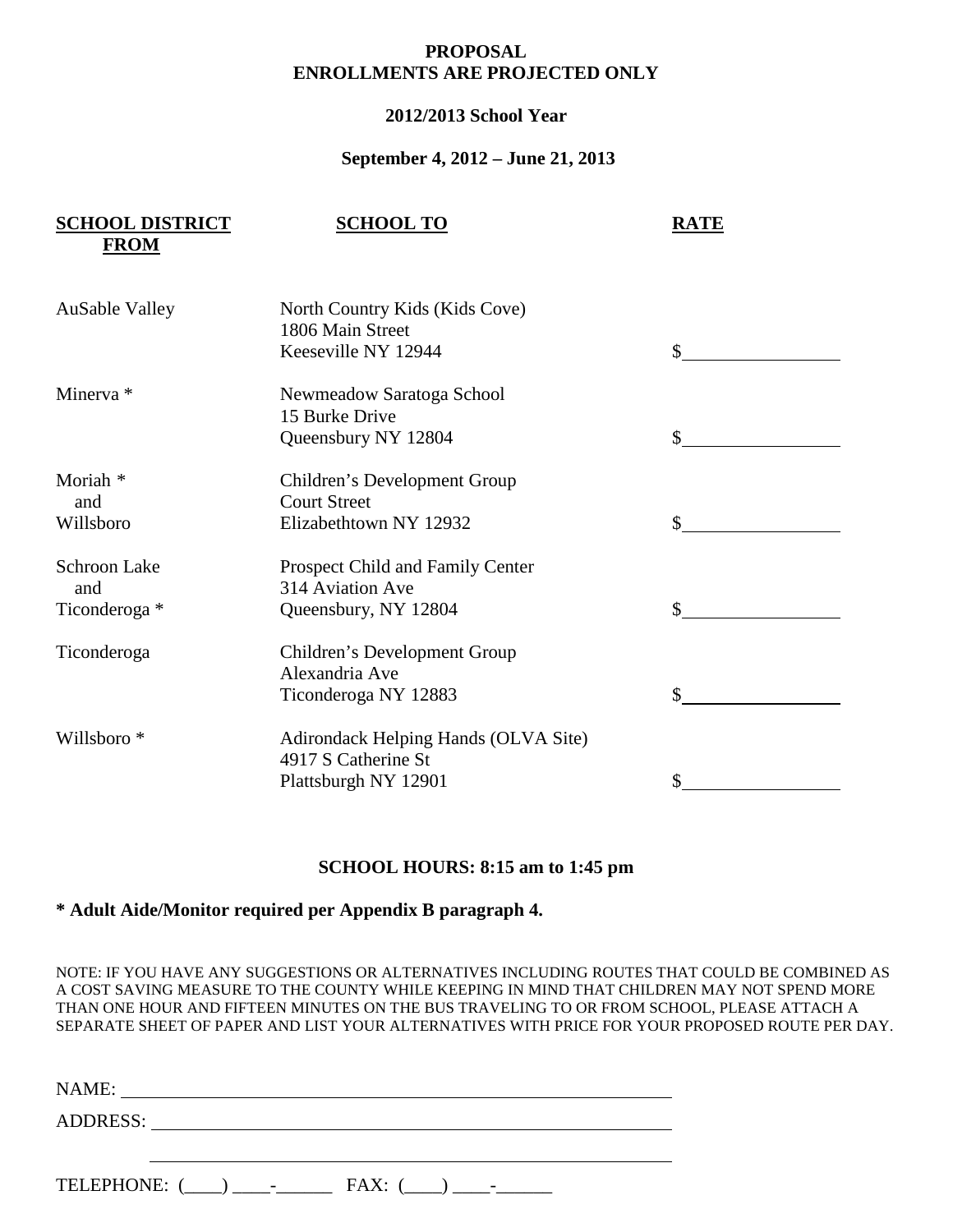### **PROPOSAL ENROLLMENTS ARE PROJECTED ONLY**

### **2012/2013 School Year**

#### **September 4, 2012 – June 21, 2013**

| <b>SCHOOL DISTRICT</b><br><b>FROM</b> | <b>SCHOOL TO</b>                                            | <b>RATE</b> |
|---------------------------------------|-------------------------------------------------------------|-------------|
| <b>AuSable Valley</b>                 | North Country Kids (Kids Cove)<br>1806 Main Street          |             |
|                                       | Keeseville NY 12944                                         | \$          |
| Minerva *                             | Newmeadow Saratoga School<br>15 Burke Drive                 |             |
|                                       | Queensbury NY 12804                                         |             |
| Moriah <sup>*</sup>                   | Children's Development Group                                |             |
| and<br>Willsboro                      | <b>Court Street</b><br>Elizabethtown NY 12932               | \$          |
|                                       |                                                             |             |
| <b>Schroon Lake</b><br>and            | Prospect Child and Family Center<br>314 Aviation Ave        |             |
| Ticonderoga *                         | Queensbury, NY 12804                                        | \$          |
| Ticonderoga                           | Children's Development Group                                |             |
|                                       | Alexandria Ave<br>Ticonderoga NY 12883                      | \$          |
|                                       |                                                             |             |
| Willsboro <sup>*</sup>                | Adirondack Helping Hands (OLVA Site)<br>4917 S Catherine St |             |
|                                       | Plattsburgh NY 12901                                        | \$          |

#### **SCHOOL HOURS: 8:15 am to 1:45 pm**

### **\* Adult Aide/Monitor required per Appendix B paragraph 4.**

NOTE: IF YOU HAVE ANY SUGGESTIONS OR ALTERNATIVES INCLUDING ROUTES THAT COULD BE COMBINED AS A COST SAVING MEASURE TO THE COUNTY WHILE KEEPING IN MIND THAT CHILDREN MAY NOT SPEND MORE THAN ONE HOUR AND FIFTEEN MINUTES ON THE BUS TRAVELING TO OR FROM SCHOOL, PLEASE ATTACH A SEPARATE SHEET OF PAPER AND LIST YOUR ALTERNATIVES WITH PRICE FOR YOUR PROPOSED ROUTE PER DAY.

| <b>NAME</b><br>11111111. |  |  |
|--------------------------|--|--|
|                          |  |  |

ADDRESS: Universe of the state of the state of the state of the state of the state of the state of the state of the state of the state of the state of the state of the state of the state of the state of the state of the st

TELEPHONE:  $(\_\_) \_\_\_$ - FAX:  $(\_\_) \_\_$ -